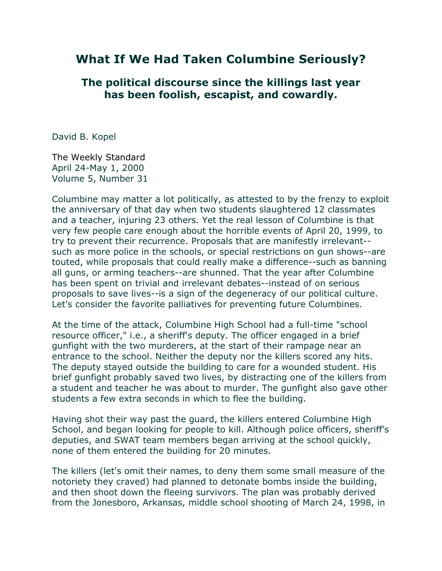## **What If We Had Taken Columbine Seriously?**

**The political discourse since the killings last year has been foolish, escapist, and cowardly.**

David B. Kopel

[The Weekly Standard](http://www.weeklystandard.com/)  April 24-May 1, 2000 Volume 5, Number 31

Columbine may matter a lot politically, as attested to by the frenzy to exploit the anniversary of that day when two students slaughtered 12 classmates and a teacher, injuring 23 others. Yet the real lesson of Columbine is that very few people care enough about the horrible events of April 20, 1999, to try to prevent their recurrence. Proposals that are manifestly irrelevant- such as more police in the schools, or special restrictions on gun shows--are touted, while proposals that could really make a difference--such as banning all guns, or arming teachers--are shunned. That the year after Columbine has been spent on trivial and irrelevant debates--instead of on serious proposals to save lives--is a sign of the degeneracy of our political culture. Let's consider the favorite palliatives for preventing future Columbines.

At the time of the attack, Columbine High School had a full-time "school resource officer," i.e., a sheriff's deputy. The officer engaged in a brief gunfight with the two murderers, at the start of their rampage near an entrance to the school. Neither the deputy nor the killers scored any hits. The deputy stayed outside the building to care for a wounded student. His brief gunfight probably saved two lives, by distracting one of the killers from a student and teacher he was about to murder. The gunfight also gave other students a few extra seconds in which to flee the building.

Having shot their way past the guard, the killers entered Columbine High School, and began looking for people to kill. Although police officers, sheriff's deputies, and SWAT team members began arriving at the school quickly, none of them entered the building for 20 minutes.

The killers (let's omit their names, to deny them some small measure of the notoriety they craved) had planned to detonate bombs inside the building, and then shoot down the fleeing survivors. The plan was probably derived from the Jonesboro, Arkansas, middle school shooting of March 24, 1998, in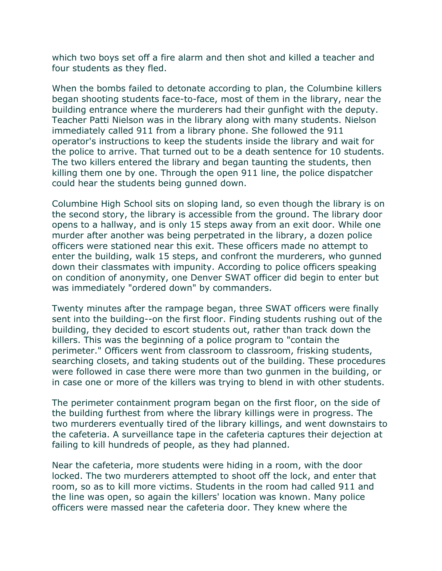which two boys set off a fire alarm and then shot and killed a teacher and four students as they fled.

When the bombs failed to detonate according to plan, the Columbine killers began shooting students face-to-face, most of them in the library, near the building entrance where the murderers had their gunfight with the deputy. Teacher Patti Nielson was in the library along with many students. Nielson immediately called 911 from a library phone. She followed the 911 operator's instructions to keep the students inside the library and wait for the police to arrive. That turned out to be a death sentence for 10 students. The two killers entered the library and began taunting the students, then killing them one by one. Through the open 911 line, the police dispatcher could hear the students being gunned down.

Columbine High School sits on sloping land, so even though the library is on the second story, the library is accessible from the ground. The library door opens to a hallway, and is only 15 steps away from an exit door. While one murder after another was being perpetrated in the library, a dozen police officers were stationed near this exit. These officers made no attempt to enter the building, walk 15 steps, and confront the murderers, who gunned down their classmates with impunity. According to police officers speaking on condition of anonymity, one Denver SWAT officer did begin to enter but was immediately "ordered down" by commanders.

Twenty minutes after the rampage began, three SWAT officers were finally sent into the building--on the first floor. Finding students rushing out of the building, they decided to escort students out, rather than track down the killers. This was the beginning of a police program to "contain the perimeter." Officers went from classroom to classroom, frisking students, searching closets, and taking students out of the building. These procedures were followed in case there were more than two gunmen in the building, or in case one or more of the killers was trying to blend in with other students.

The perimeter containment program began on the first floor, on the side of the building furthest from where the library killings were in progress. The two murderers eventually tired of the library killings, and went downstairs to the cafeteria. A surveillance tape in the cafeteria captures their dejection at failing to kill hundreds of people, as they had planned.

Near the cafeteria, more students were hiding in a room, with the door locked. The two murderers attempted to shoot off the lock, and enter that room, so as to kill more victims. Students in the room had called 911 and the line was open, so again the killers' location was known. Many police officers were massed near the cafeteria door. They knew where the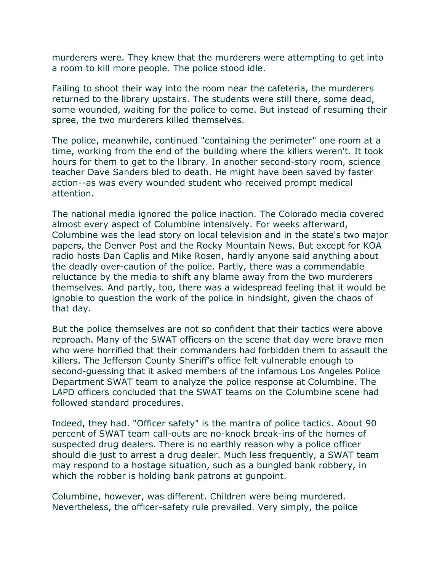murderers were. They knew that the murderers were attempting to get into a room to kill more people. The police stood idle.

Failing to shoot their way into the room near the cafeteria, the murderers returned to the library upstairs. The students were still there, some dead, some wounded, waiting for the police to come. But instead of resuming their spree, the two murderers killed themselves.

The police, meanwhile, continued "containing the perimeter" one room at a time, working from the end of the building where the killers weren't. It took hours for them to get to the library. In another second-story room, science teacher Dave Sanders bled to death. He might have been saved by faster action--as was every wounded student who received prompt medical attention.

The national media ignored the police inaction. The Colorado media covered almost every aspect of Columbine intensively. For weeks afterward, Columbine was the lead story on local television and in the state's two major papers, the Denver Post and the Rocky Mountain News. But except for KOA radio hosts Dan Caplis and Mike Rosen, hardly anyone said anything about the deadly over-caution of the police. Partly, there was a commendable reluctance by the media to shift any blame away from the two murderers themselves. And partly, too, there was a widespread feeling that it would be ignoble to question the work of the police in hindsight, given the chaos of that day.

But the police themselves are not so confident that their tactics were above reproach. Many of the SWAT officers on the scene that day were brave men who were horrified that their commanders had forbidden them to assault the killers. The Jefferson County Sheriff's office felt vulnerable enough to second-guessing that it asked members of the infamous Los Angeles Police Department SWAT team to analyze the police response at Columbine. The LAPD officers concluded that the SWAT teams on the Columbine scene had followed standard procedures.

Indeed, they had. "Officer safety" is the mantra of police tactics. About 90 percent of SWAT team call-outs are no-knock break-ins of the homes of suspected drug dealers. There is no earthly reason why a police officer should die just to arrest a drug dealer. Much less frequently, a SWAT team may respond to a hostage situation, such as a bungled bank robbery, in which the robber is holding bank patrons at gunpoint.

Columbine, however, was different. Children were being murdered. Nevertheless, the officer-safety rule prevailed. Very simply, the police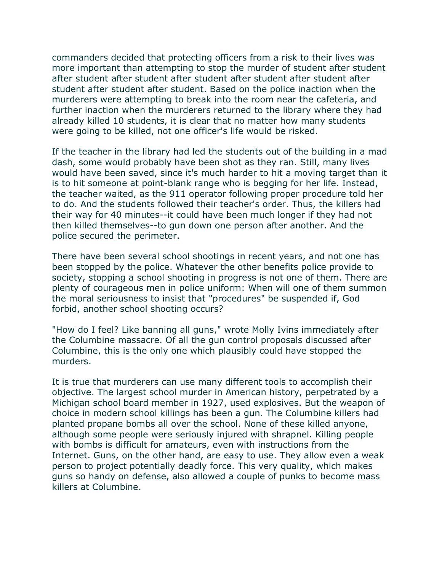commanders decided that protecting officers from a risk to their lives was more important than attempting to stop the murder of student after student after student after student after student after student after student after student after student after student. Based on the police inaction when the murderers were attempting to break into the room near the cafeteria, and further inaction when the murderers returned to the library where they had already killed 10 students, it is clear that no matter how many students were going to be killed, not one officer's life would be risked.

If the teacher in the library had led the students out of the building in a mad dash, some would probably have been shot as they ran. Still, many lives would have been saved, since it's much harder to hit a moving target than it is to hit someone at point-blank range who is begging for her life. Instead, the teacher waited, as the 911 operator following proper procedure told her to do. And the students followed their teacher's order. Thus, the killers had their way for 40 minutes--it could have been much longer if they had not then killed themselves--to gun down one person after another. And the police secured the perimeter.

There have been several school shootings in recent years, and not one has been stopped by the police. Whatever the other benefits police provide to society, stopping a school shooting in progress is not one of them. There are plenty of courageous men in police uniform: When will one of them summon the moral seriousness to insist that "procedures" be suspended if, God forbid, another school shooting occurs?

"How do I feel? Like banning all guns," wrote Molly Ivins immediately after the Columbine massacre. Of all the gun control proposals discussed after Columbine, this is the only one which plausibly could have stopped the murders.

It is true that murderers can use many different tools to accomplish their objective. The largest school murder in American history, perpetrated by a Michigan school board member in 1927, used explosives. But the weapon of choice in modern school killings has been a gun. The Columbine killers had planted propane bombs all over the school. None of these killed anyone, although some people were seriously injured with shrapnel. Killing people with bombs is difficult for amateurs, even with instructions from the Internet. Guns, on the other hand, are easy to use. They allow even a weak person to project potentially deadly force. This very quality, which makes guns so handy on defense, also allowed a couple of punks to become mass killers at Columbine.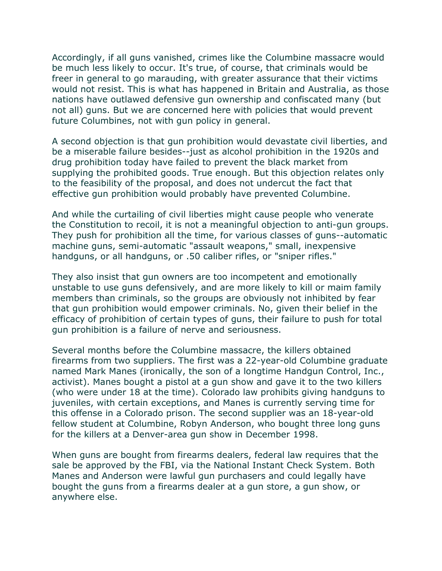Accordingly, if all guns vanished, crimes like the Columbine massacre would be much less likely to occur. It's true, of course, that criminals would be freer in general to go marauding, with greater assurance that their victims would not resist. This is what has happened in Britain and Australia, as those nations have outlawed defensive gun ownership and confiscated many (but not all) guns. But we are concerned here with policies that would prevent future Columbines, not with gun policy in general.

A second objection is that gun prohibition would devastate civil liberties, and be a miserable failure besides--just as alcohol prohibition in the 1920s and drug prohibition today have failed to prevent the black market from supplying the prohibited goods. True enough. But this objection relates only to the feasibility of the proposal, and does not undercut the fact that effective gun prohibition would probably have prevented Columbine.

And while the curtailing of civil liberties might cause people who venerate the Constitution to recoil, it is not a meaningful objection to anti-gun groups. They push for prohibition all the time, for various classes of guns--automatic machine guns, semi-automatic "assault weapons," small, inexpensive handguns, or all handguns, or .50 caliber rifles, or "sniper rifles."

They also insist that gun owners are too incompetent and emotionally unstable to use guns defensively, and are more likely to kill or maim family members than criminals, so the groups are obviously not inhibited by fear that gun prohibition would empower criminals. No, given their belief in the efficacy of prohibition of certain types of guns, their failure to push for total gun prohibition is a failure of nerve and seriousness.

Several months before the Columbine massacre, the killers obtained firearms from two suppliers. The first was a 22-year-old Columbine graduate named Mark Manes (ironically, the son of a longtime Handgun Control, Inc., activist). Manes bought a pistol at a gun show and gave it to the two killers (who were under 18 at the time). Colorado law prohibits giving handguns to juveniles, with certain exceptions, and Manes is currently serving time for this offense in a Colorado prison. The second supplier was an 18-year-old fellow student at Columbine, Robyn Anderson, who bought three long guns for the killers at a Denver-area gun show in December 1998.

When guns are bought from firearms dealers, federal law requires that the sale be approved by the FBI, via the National Instant Check System. Both Manes and Anderson were lawful gun purchasers and could legally have bought the guns from a firearms dealer at a gun store, a gun show, or anywhere else.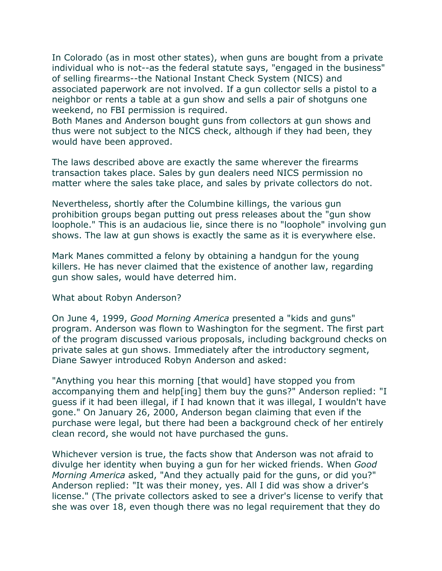In Colorado (as in most other states), when guns are bought from a private individual who is not--as the federal statute says, "engaged in the business" of selling firearms--the National Instant Check System (NICS) and associated paperwork are not involved. If a gun collector sells a pistol to a neighbor or rents a table at a gun show and sells a pair of shotguns one weekend, no FBI permission is required.

Both Manes and Anderson bought guns from collectors at gun shows and thus were not subject to the NICS check, although if they had been, they would have been approved.

The laws described above are exactly the same wherever the firearms transaction takes place. Sales by gun dealers need NICS permission no matter where the sales take place, and sales by private collectors do not.

Nevertheless, shortly after the Columbine killings, the various gun prohibition groups began putting out press releases about the "gun show loophole." This is an audacious lie, since there is no "loophole" involving gun shows. The law at gun shows is exactly the same as it is everywhere else.

Mark Manes committed a felony by obtaining a handgun for the young killers. He has never claimed that the existence of another law, regarding gun show sales, would have deterred him.

## What about Robyn Anderson?

On June 4, 1999, *Good Morning America* presented a "kids and guns" program. Anderson was flown to Washington for the segment. The first part of the program discussed various proposals, including background checks on private sales at gun shows. Immediately after the introductory segment, Diane Sawyer introduced Robyn Anderson and asked:

"Anything you hear this morning [that would] have stopped you from accompanying them and help[ing] them buy the guns?" Anderson replied: "I guess if it had been illegal, if I had known that it was illegal, I wouldn't have gone." On January 26, 2000, Anderson began claiming that even if the purchase were legal, but there had been a background check of her entirely clean record, she would not have purchased the guns.

Whichever version is true, the facts show that Anderson was not afraid to divulge her identity when buying a gun for her wicked friends. When *Good Morning America* asked, "And they actually paid for the guns, or did you?" Anderson replied: "It was their money, yes. All I did was show a driver's license." (The private collectors asked to see a driver's license to verify that she was over 18, even though there was no legal requirement that they do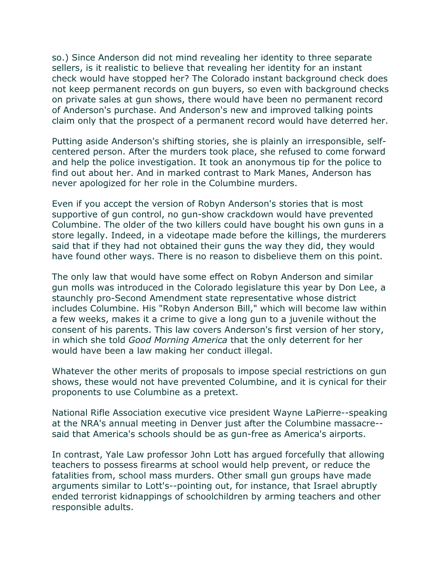so.) Since Anderson did not mind revealing her identity to three separate sellers, is it realistic to believe that revealing her identity for an instant check would have stopped her? The Colorado instant background check does not keep permanent records on gun buyers, so even with background checks on private sales at gun shows, there would have been no permanent record of Anderson's purchase. And Anderson's new and improved talking points claim only that the prospect of a permanent record would have deterred her.

Putting aside Anderson's shifting stories, she is plainly an irresponsible, selfcentered person. After the murders took place, she refused to come forward and help the police investigation. It took an anonymous tip for the police to find out about her. And in marked contrast to Mark Manes, Anderson has never apologized for her role in the Columbine murders.

Even if you accept the version of Robyn Anderson's stories that is most supportive of gun control, no gun-show crackdown would have prevented Columbine. The older of the two killers could have bought his own guns in a store legally. Indeed, in a videotape made before the killings, the murderers said that if they had not obtained their guns the way they did, they would have found other ways. There is no reason to disbelieve them on this point.

The only law that would have some effect on Robyn Anderson and similar gun molls was introduced in the Colorado legislature this year by Don Lee, a staunchly pro-Second Amendment state representative whose district includes Columbine. His "Robyn Anderson Bill," which will become law within a few weeks, makes it a crime to give a long gun to a juvenile without the consent of his parents. This law covers Anderson's first version of her story, in which she told *Good Morning America* that the only deterrent for her would have been a law making her conduct illegal.

Whatever the other merits of proposals to impose special restrictions on gun shows, these would not have prevented Columbine, and it is cynical for their proponents to use Columbine as a pretext.

National Rifle Association executive vice president Wayne LaPierre--speaking at the NRA's annual meeting in Denver just after the Columbine massacre- said that America's schools should be as gun-free as America's airports.

In contrast, Yale Law professor John Lott has argued forcefully that allowing teachers to possess firearms at school would help prevent, or reduce the fatalities from, school mass murders. Other small gun groups have made arguments similar to Lott's--pointing out, for instance, that Israel abruptly ended terrorist kidnappings of schoolchildren by arming teachers and other responsible adults.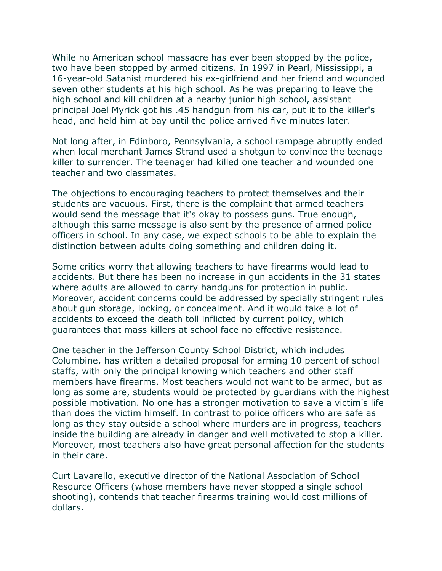While no American school massacre has ever been stopped by the police, two have been stopped by armed citizens. In 1997 in Pearl, Mississippi, a 16-year-old Satanist murdered his ex-girlfriend and her friend and wounded seven other students at his high school. As he was preparing to leave the high school and kill children at a nearby junior high school, assistant principal Joel Myrick got his .45 handgun from his car, put it to the killer's head, and held him at bay until the police arrived five minutes later.

Not long after, in Edinboro, Pennsylvania, a school rampage abruptly ended when local merchant James Strand used a shotgun to convince the teenage killer to surrender. The teenager had killed one teacher and wounded one teacher and two classmates.

The objections to encouraging teachers to protect themselves and their students are vacuous. First, there is the complaint that armed teachers would send the message that it's okay to possess guns. True enough, although this same message is also sent by the presence of armed police officers in school. In any case, we expect schools to be able to explain the distinction between adults doing something and children doing it.

Some critics worry that allowing teachers to have firearms would lead to accidents. But there has been no increase in gun accidents in the 31 states where adults are allowed to carry handguns for protection in public. Moreover, accident concerns could be addressed by specially stringent rules about gun storage, locking, or concealment. And it would take a lot of accidents to exceed the death toll inflicted by current policy, which guarantees that mass killers at school face no effective resistance.

One teacher in the Jefferson County School District, which includes Columbine, has written a detailed proposal for arming 10 percent of school staffs, with only the principal knowing which teachers and other staff members have firearms. Most teachers would not want to be armed, but as long as some are, students would be protected by guardians with the highest possible motivation. No one has a stronger motivation to save a victim's life than does the victim himself. In contrast to police officers who are safe as long as they stay outside a school where murders are in progress, teachers inside the building are already in danger and well motivated to stop a killer. Moreover, most teachers also have great personal affection for the students in their care.

Curt Lavarello, executive director of the National Association of School Resource Officers (whose members have never stopped a single school shooting), contends that teacher firearms training would cost millions of dollars.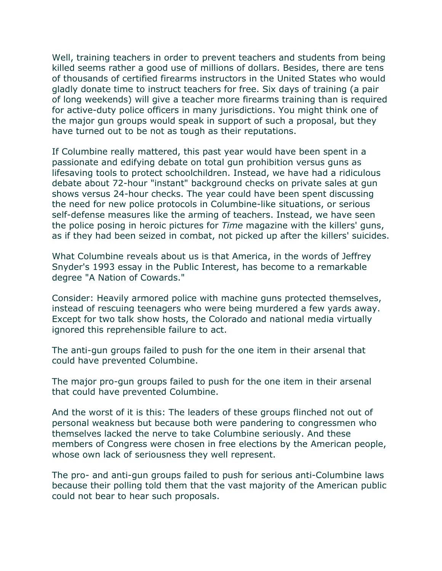Well, training teachers in order to prevent teachers and students from being killed seems rather a good use of millions of dollars. Besides, there are tens of thousands of certified firearms instructors in the United States who would gladly donate time to instruct teachers for free. Six days of training (a pair of long weekends) will give a teacher more firearms training than is required for active-duty police officers in many jurisdictions. You might think one of the major gun groups would speak in support of such a proposal, but they have turned out to be not as tough as their reputations.

If Columbine really mattered, this past year would have been spent in a passionate and edifying debate on total gun prohibition versus guns as lifesaving tools to protect schoolchildren. Instead, we have had a ridiculous debate about 72-hour "instant" background checks on private sales at gun shows versus 24-hour checks. The year could have been spent discussing the need for new police protocols in Columbine-like situations, or serious self-defense measures like the arming of teachers. Instead, we have seen the police posing in heroic pictures for *Time* magazine with the killers' guns, as if they had been seized in combat, not picked up after the killers' suicides.

What Columbine reveals about us is that America, in the words of Jeffrey Snyder's 1993 essay in the Public Interest, has become to a remarkable degree "A Nation of Cowards."

Consider: Heavily armored police with machine guns protected themselves, instead of rescuing teenagers who were being murdered a few yards away. Except for two talk show hosts, the Colorado and national media virtually ignored this reprehensible failure to act.

The anti-gun groups failed to push for the one item in their arsenal that could have prevented Columbine.

The major pro-gun groups failed to push for the one item in their arsenal that could have prevented Columbine.

And the worst of it is this: The leaders of these groups flinched not out of personal weakness but because both were pandering to congressmen who themselves lacked the nerve to take Columbine seriously. And these members of Congress were chosen in free elections by the American people, whose own lack of seriousness they well represent.

The pro- and anti-gun groups failed to push for serious anti-Columbine laws because their polling told them that the vast majority of the American public could not bear to hear such proposals.